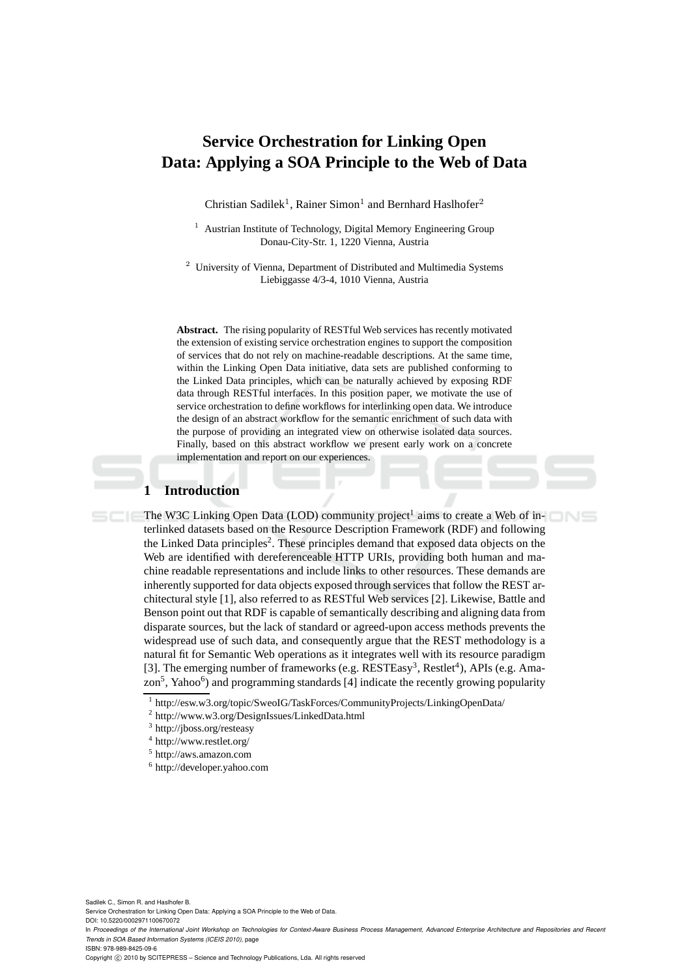# **Service Orchestration for Linking Open Data: Applying a SOA Principle to the Web of Data**

Christian Sadilek<sup>1</sup>, Rainer Simon<sup>1</sup> and Bernhard Haslhofer<sup>2</sup>

<sup>1</sup> Austrian Institute of Technology, Digital Memory Engineering Group Donau-City-Str. 1, 1220 Vienna, Austria

<sup>2</sup> University of Vienna, Department of Distributed and Multimedia Systems Liebiggasse 4/3-4, 1010 Vienna, Austria

**Abstract.** The rising popularity of RESTful Web services has recently motivated the extension of existing service orchestration engines to support the composition of services that do not rely on machine-readable descriptions. At the same time, within the Linking Open Data initiative, data sets are published conforming to the Linked Data principles, which can be naturally achieved by exposing RDF data through RESTful interfaces. In this position paper, we motivate the use of service orchestration to define workflows for interlinking open data. We introduce the design of an abstract workflow for the semantic enrichment of such data with the purpose of providing an integrated view on otherwise isolated data sources. Finally, based on this abstract workflow we present early work on a concrete implementation and report on our experiences.

## **1 Introduction**

 $S C < 16$ 

The W3C Linking Open Data (LOD) community project<sup>1</sup> aims to create a Web of interlinked datasets based on the Resource Description Framework (RDF) and following the Linked Data principles<sup>2</sup>. These principles demand that exposed data objects on the Web are identified with dereferenceable HTTP URIs, providing both human and machine readable representations and include links to other resources. These demands are inherently supported for data objects exposed through services that follow the REST architectural style [1], also referred to as RESTful Web services [2]. Likewise, Battle and Benson point out that RDF is capable of semantically describing and aligning data from disparate sources, but the lack of standard or agreed-upon access methods prevents the widespread use of such data, and consequently argue that the REST methodology is a natural fit for Semantic Web operations as it integrates well with its resource paradigm [3]. The emerging number of frameworks (e.g. RESTEasy<sup>3</sup>, Restlet<sup>4</sup>), APIs (e.g. Amazon<sup>5</sup>, Yahoo<sup>6</sup>) and programming standards [4] indicate the recently growing popularity

Sadilek C., Simon R. and Haslhofer B. Service Orchestration for Linking Open Data: Applying a SOA Principle to the Web of Data. DOI: 10.5220/0002971100670072

In *Proceedings of the International Joint Workshop on Technologies for Context-Aware Business Process Management, Advanced Enterprise Architecture and Repositories and Recent Trends in SOA Based Information Systems (ICEIS 2010)*, page ISBN: 978-989-8425-09-6

<sup>1</sup> http://esw.w3.org/topic/SweoIG/TaskForces/CommunityProjects/LinkingOpenData/

<sup>&</sup>lt;sup>2</sup> http://www.w3.org/DesignIssues/LinkedData.html

<sup>&</sup>lt;sup>3</sup> http://jboss.org/resteasy

<sup>4</sup> http://www.restlet.org/

<sup>5</sup> http://aws.amazon.com

<sup>6</sup> http://developer.yahoo.com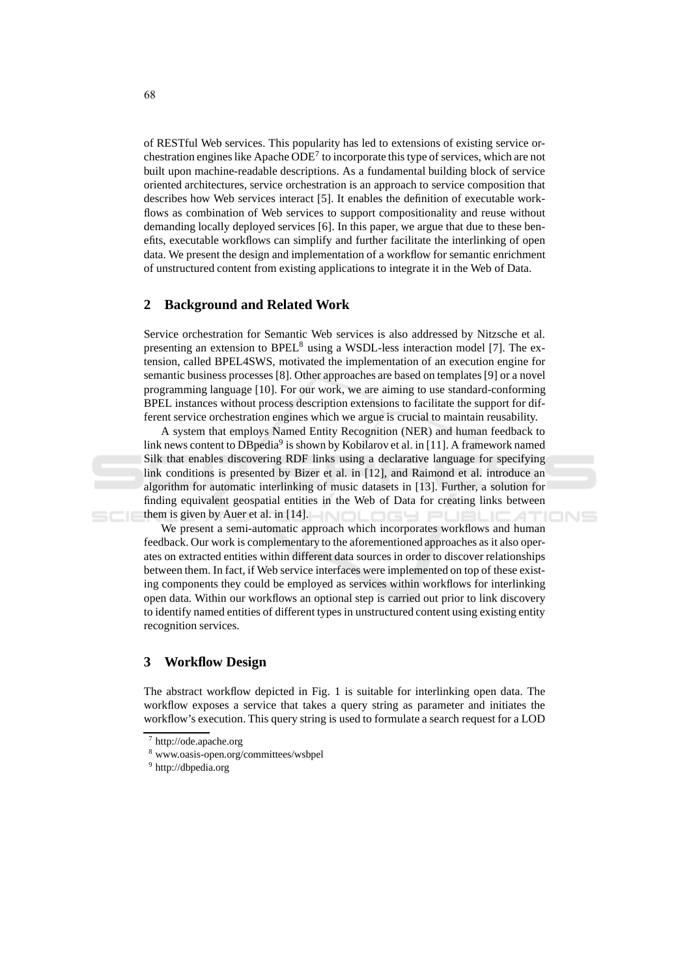of RESTful Web services. This popularity has led to extensions of existing service orchestration engines like Apache  $ODE<sup>7</sup>$  to incorporate this type of services, which are not built upon machine-readable descriptions. As a fundamental building block of service oriented architectures, service orchestration is an approach to service composition that describes how Web services interact [5]. It enables the definition of executable workflows as combination of Web services to support compositionality and reuse without demanding locally deployed services [6]. In this paper, we argue that due to these benefits, executable workflows can simplify and further facilitate the interlinking of open data. We present the design and implementation of a workflow for semantic enrichment of unstructured content from existing applications to integrate it in the Web of Data.

#### $\boldsymbol{2}$ **Background and Related Work**

Service orchestration for Semantic Web services is also addressed by Nitzsche et al. presenting an extension to BPEL<sup>8</sup> using a WSDL-less interaction model [7]. The extension, called BPEL4SWS, motivated the implementation of an execution engine for semantic business processes [8]. Other approaches are based on templates [9] or a novel programming language [10]. For our work, we are aiming to use standard-conforming BPEL instances without process description extensions to facilitate the support for different service or chestration engines which we argue is crucial to maintain reusability.

A system that employs Named Entity Recognition (NER) and human feedback to link news content to DB pedia<sup>9</sup> is shown by Kobilarov et al. in [11]. A framework named Silk that enables discovering RDF links using a declarative language for specifying link conditions is presented by Bizer et al. in [12], and Raimond et al. introduce an algorithm for automatic interlinking of music datasets in [13]. Further, a solution for finding equivalent geospatial entities in the Web of Data for creating links between them is given by Auer et al. in  $[14]$ . **DESI**  $\Box$ **IONS** 

We present a semi-automatic approach which incorporates workflows and human feedback. Our work is complementary to the aforementioned approaches as it also operates on extracted entities within different data sources in order to discover relationships between them. In fact, if Web service interfaces were implemented on top of these existing components they could be employed as services within workflows for interlinking open data. Within our workflows an optional step is carried out prior to link discovery to identify named entities of different types in unstructured content using existing entity recognition services.

#### $\mathbf{3}$ **Workflow Design**

The abstract workflow depicted in Fig. 1 is suitable for interlinking open data. The workflow exposes a service that takes a query string as parameter and initiates the workflow's execution. This query string is used to formulate a search request for a LOD

 $7$  http://ode.apache.org

<sup>&</sup>lt;sup>8</sup> www.oasis-open.org/committees/wsbpel

 $^9$ http://dbpedia.org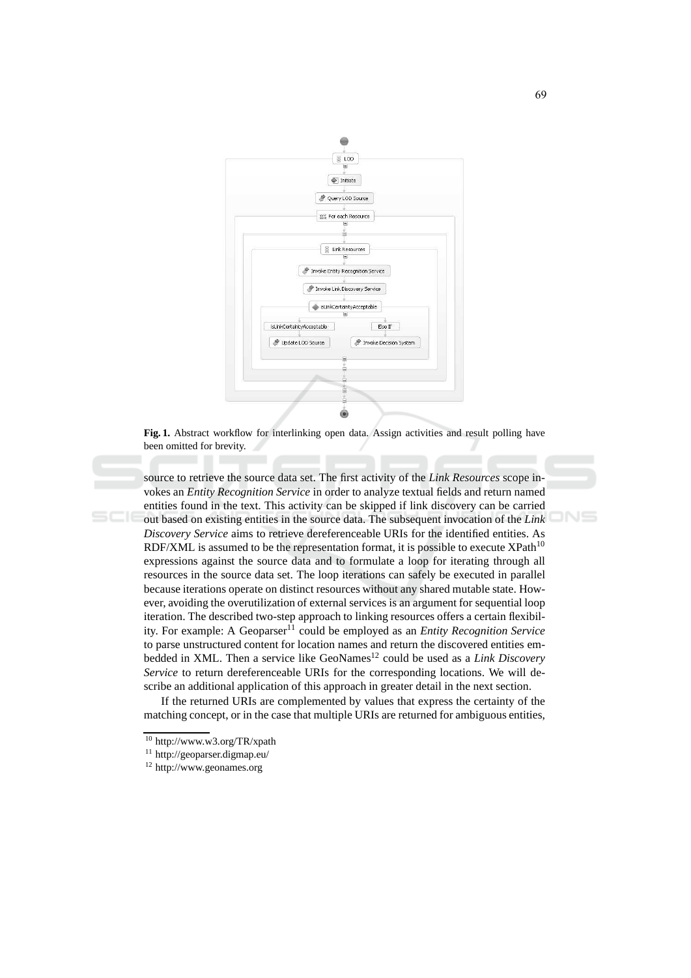

Fig. 1. Abstract workflow for interlinking open data. Assign activities and result polling have been omitted for brevity.

source to retrieve the source data set. The first activity of the Link Resources scope invokes an *Entity Recognition Service* in order to analyze textual fields and return named entities found in the text. This activity can be skipped if link discovery can be carried out based on existing entities in the source data. The subsequent invocation of the Link Discovery Service aims to retrieve dereferenceable URIs for the identified entities. As RDF/XML is assumed to be the representation format, it is possible to execute  $XPath^{10}$ expressions against the source data and to formulate a loop for iterating through all resources in the source data set. The loop iterations can safely be executed in parallel because iterations operate on distinct resources without any shared mutable state. However, avoiding the overutilization of external services is an argument for sequential loop iteration. The described two-step approach to linking resources offers a certain flexibility. For example: A Geoparser<sup>11</sup> could be employed as an *Entity Recognition Service* to parse unstructured content for location names and return the discovered entities embedded in XML. Then a service like GeoNames<sup>12</sup> could be used as a *Link Discovery* Service to return dereferenceable URIs for the corresponding locations. We will describe an additional application of this approach in greater detail in the next section.

If the returned URIs are complemented by values that express the certainty of the matching concept, or in the case that multiple URIs are returned for ambiguous entities,

**JNS** 

<sup>&</sup>lt;sup>10</sup> http://www.w3.org/TR/xpath

<sup>&</sup>lt;sup>11</sup> http://geoparser.digmap.eu/

 $12$  http://www.geonames.org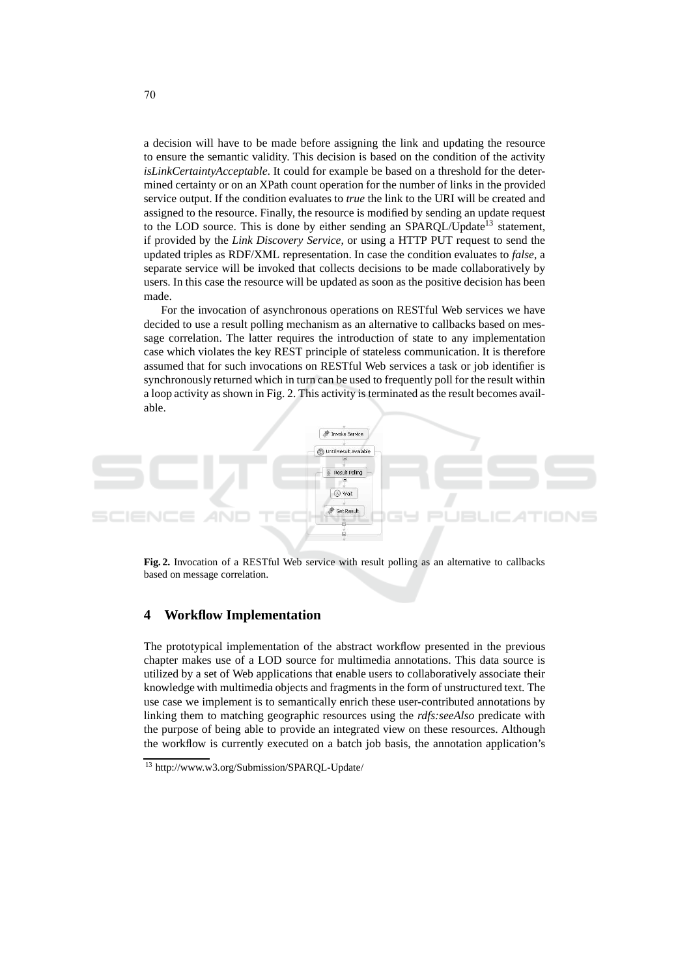a decision will have to be made before assigning the link and updating the resource to ensure the semantic validity. This decision is based on the condition of the activity isLinkCertaintyAcceptable. It could for example be based on a threshold for the determined certainty or on an XPath count operation for the number of links in the provided service output. If the condition evaluates to *true* the link to the URI will be created and assigned to the resource. Finally, the resource is modified by sending an update request to the LOD source. This is done by either sending an SPARQL/Update<sup>13</sup> statement, if provided by the Link Discovery Service, or using a HTTP PUT request to send the updated triples as RDF/XML representation. In case the condition evaluates to *false*, a separate service will be invoked that collects decisions to be made collaboratively by users. In this case the resource will be updated as soon as the positive decision has been made.

For the invocation of asynchronous operations on RESTful Web services we have decided to use a result polling mechanism as an alternative to callbacks based on message correlation. The latter requires the introduction of state to any implementation case which violates the key REST principle of stateless communication. It is therefore assumed that for such invocations on RESTful Web services a task or job identifier is synchronously returned which in turn can be used to frequently poll for the result within a loop activity as shown in Fig. 2. This activity is terminated as the result becomes available.



Fig. 2. Invocation of a RESTful Web service with result polling as an alternative to callbacks based on message correlation.

#### $\overline{\mathbf{4}}$ **Workflow Implementation**

The prototypical implementation of the abstract workflow presented in the previous chapter makes use of a LOD source for multimedia annotations. This data source is utilized by a set of Web applications that enable users to collaboratively associate their knowledge with multimedia objects and fragments in the form of unstructured text. The use case we implement is to semantically enrich these user-contributed annotations by linking them to matching geographic resources using the *rdfs:seeAlso* predicate with the purpose of being able to provide an integrated view on these resources. Although the workflow is currently executed on a batch job basis, the annotation application's

<sup>&</sup>lt;sup>13</sup> http://www.w3.org/Submission/SPARQL-Update/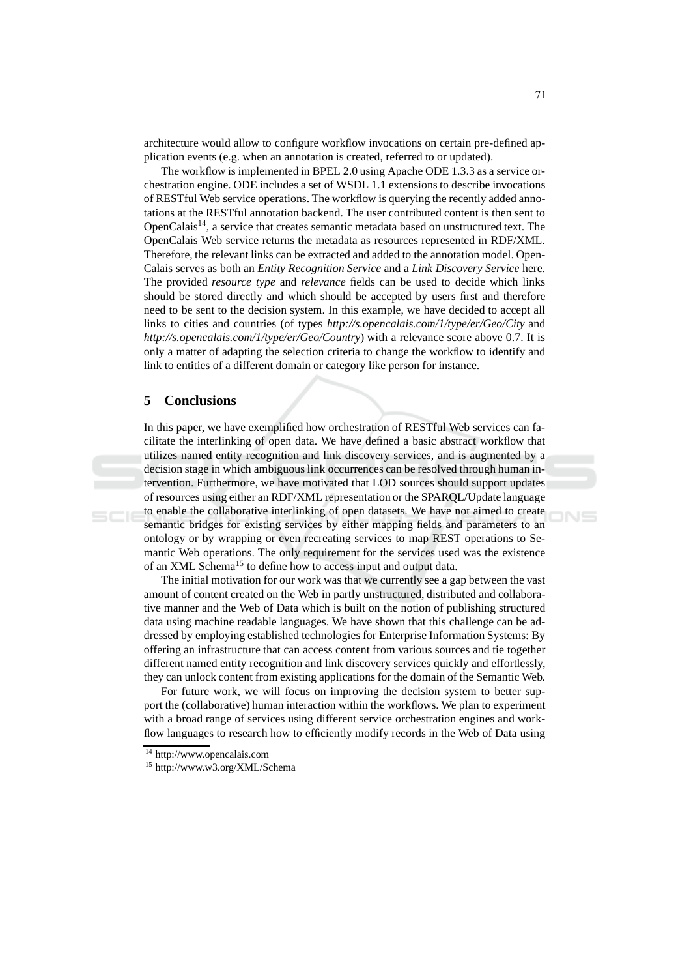architecture would allow to configure workflow invocations on certain pre-defined application events (e.g. when an annotation is created, referred to or updated).

The workflow is implemented in BPEL 2.0 using Apache ODE 1.3.3 as a service orchestration engine. ODE includes a set of WSDL 1.1 extensions to describe invocations of REST ful Web service operations. The workflow is querying the recently added annotations at the RESTful annotation backend. The user contributed content is then sent to OpenCalais<sup>14</sup>, a service that creates semantic metadata based on unstructured text. The OpenCalais Web service returns the metadata as resources represented in RDF/XML. Therefore, the relevant links can be extracted and added to the annotation model. Open-Calais serves as both an Entity Recognition Service and a Link Discovery Service here. The provided *resource type* and *relevance* fields can be used to decide which links should be stored directly and which should be accepted by users first and therefore need to be sent to the decision system. In this example, we have decided to accept all links to cities and countries (of types http://s.opencalais.com/1/type/er/Geo/City and http://s.opencalais.com/1/type/er/Geo/Country) with a relevance score above 0.7. It is only a matter of adapting the selection criteria to change the workflow to identify and link to entities of a different domain or category like person for instance.

#### 5 **Conclusions**

In this paper, we have exemplified how orchestration of RESTful Web services can facilitate the interlinking of open data. We have defined a basic abstract workflow that utilizes named entity recognition and link discovery services, and is augmented by a decision stage in which ambiguous link occurrences can be resolved through human intervention. Furthermore, we have motivated that LOD sources should support updates of resources using either an RDF/XML representation or the SPARQL/Update language to enable the collaborative interlinking of open datasets. We have not aimed to create semantic bridges for existing services by either mapping fields and parameters to an ontology or by wrapping or even recreating services to map REST operations to Semantic Web operations. The only requirement for the services used was the existence of an XML Schema<sup>15</sup> to define how to access input and output data.

The initial motivation for our work was that we currently see a gap between the vast amount of content created on the Web in partly unstructured, distributed and collaborative manner and the Web of Data which is built on the notion of publishing structured data using machine readable languages. We have shown that this challenge can be addressed by employing established technologies for Enterprise Information Systems: By offering an infrastructure that can access content from various sources and tie together different named entity recognition and link discovery services quickly and effortlessly, they can unlock content from existing applications for the domain of the Semantic Web.

For future work, we will focus on improving the decision system to better support the (collaborative) human interaction within the workflows. We plan to experiment with a broad range of services using different service orchestration engines and workflow languages to research how to efficiently modify records in the Web of Data using

<sup>&</sup>lt;sup>14</sup> http://www.opencalais.com

<sup>&</sup>lt;sup>15</sup> http://www.w3.org/XML/Schema